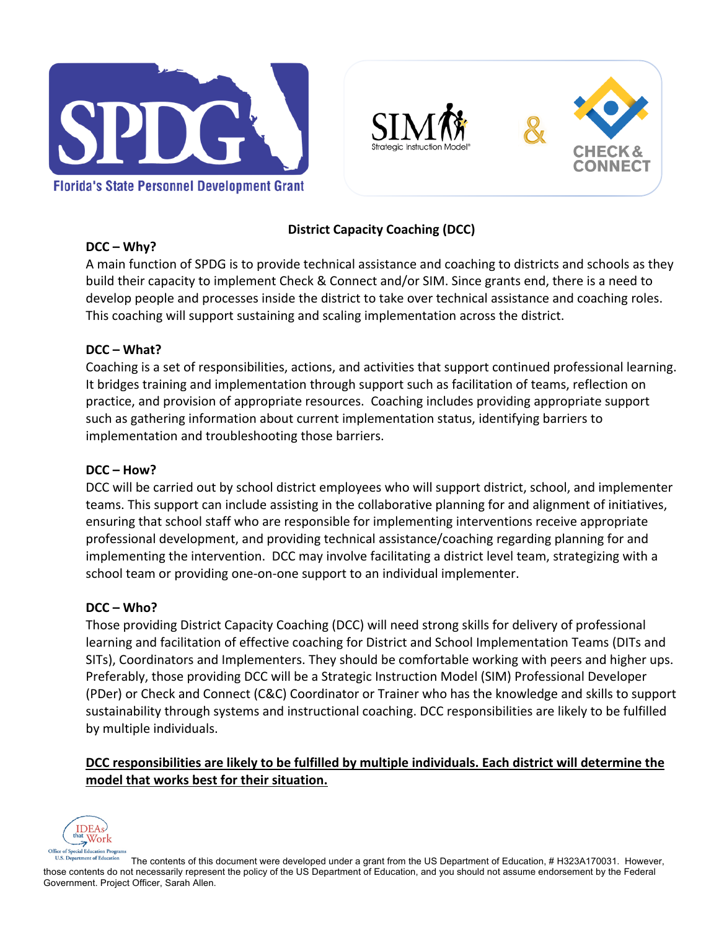



# **District Capacity Coaching (DCC)**

A main function of SPDG is to provide technical assistance and coaching to districts and schools as they build their capacity to implement Check & Connect and/or SIM. Since grants end, there is a need to develop people and processes inside the district to take over technical assistance and coaching roles. This coaching will support sustaining and scaling implementation across the district.

# **DCC – What?**

Coaching is a set of responsibilities, actions, and activities that support continued professional learning. It bridges training and implementation through support such as facilitation of teams, reflection on practice, and provision of appropriate resources. Coaching includes providing appropriate support such as gathering information about current implementation status, identifying barriers to implementation and troubleshooting those barriers.

## **DCC – How?**

DCC will be carried out by school district employees who will support district, school, and implementer teams. This support can include assisting in the collaborative planning for and alignment of initiatives, ensuring that school staff who are responsible for implementing interventions receive appropriate professional development, and providing technical assistance/coaching regarding planning for and implementing the intervention. DCC may involve facilitating a district level team, strategizing with a school team or providing one-on-one support to an individual implementer.

## **DCC – Who?**

Those providing District Capacity Coaching (DCC) will need strong skills for delivery of professional learning and facilitation of effective coaching for District and School Implementation Teams (DITs and SITs), Coordinators and Implementers. They should be comfortable working with peers and higher ups. Preferably, those providing DCC will be a Strategic Instruction Model (SIM) Professional Developer (PDer) or Check and Connect (C&C) Coordinator or Trainer who has the knowledge and skills to support sustainability through systems and instructional coaching. DCC responsibilities are likely to be fulfilled by multiple individuals.

# **DCC responsibilities are likely to be fulfilled by multiple individuals. Each district will determine the model that works best for their situation.**



The contents of this document were developed under a grant from the US Department of Education, # H323A170031. However, those contents do not necessarily represent the policy of the US Department of Education, and you should not assume endorsement by the Federal Government. Project Officer, Sarah Allen.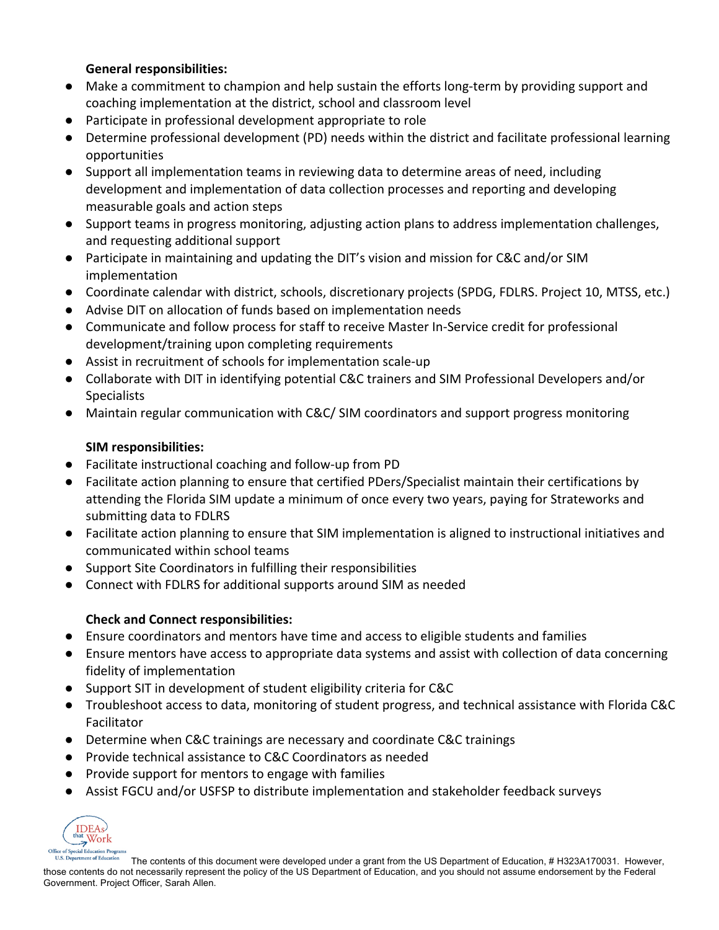#### **General responsibilities:**

- Make a commitment to champion and help sustain the efforts long-term by providing support and coaching implementation at the district, school and classroom level
- Participate in professional development appropriate to role
- Determine professional development (PD) needs within the district and facilitate professional learning opportunities
- Support all implementation teams in reviewing data to determine areas of need, including development and implementation of data collection processes and reporting and developing measurable goals and action steps
- Support teams in progress monitoring, adjusting action plans to address implementation challenges, and requesting additional support
- Participate in maintaining and updating the DIT's vision and mission for C&C and/or SIM implementation
- Coordinate calendar with district, schools, discretionary projects (SPDG, FDLRS. Project 10, MTSS, etc.)
- Advise DIT on allocation of funds based on implementation needs
- Communicate and follow process for staff to receive Master In-Service credit for professional development/training upon completing requirements
- Assist in recruitment of schools for implementation scale-up
- Collaborate with DIT in identifying potential C&C trainers and SIM Professional Developers and/or Specialists
- Maintain regular communication with C&C/ SIM coordinators and support progress monitoring

# **SIM responsibilities:**

- Facilitate instructional coaching and follow-up from PD
- Facilitate action planning to ensure that certified PDers/Specialist maintain their certifications by attending the Florida SIM update a minimum of once every two years, paying for Strateworks and submitting data to FDLRS
- Facilitate action planning to ensure that SIM implementation is aligned to instructional initiatives and communicated within school teams
- Support Site Coordinators in fulfilling their responsibilities
- Connect with FDLRS for additional supports around SIM as needed

## **Check and Connect responsibilities:**

- Ensure coordinators and mentors have time and access to eligible students and families
- Ensure mentors have access to appropriate data systems and assist with collection of data concerning fidelity of implementation
- Support SIT in development of student eligibility criteria for C&C
- Troubleshoot access to data, monitoring of student progress, and technical assistance with Florida C&C Facilitator
- Determine when C&C trainings are necessary and coordinate C&C trainings
- Provide technical assistance to C&C Coordinators as needed
- Provide support for mentors to engage with families
- Assist FGCU and/or USFSP to distribute implementation and stakeholder feedback surveys



The contents of this document were developed under a grant from the US Department of Education, # H323A170031. However, those contents do not necessarily represent the policy of the US Department of Education, and you should not assume endorsement by the Federal Government. Project Officer, Sarah Allen.